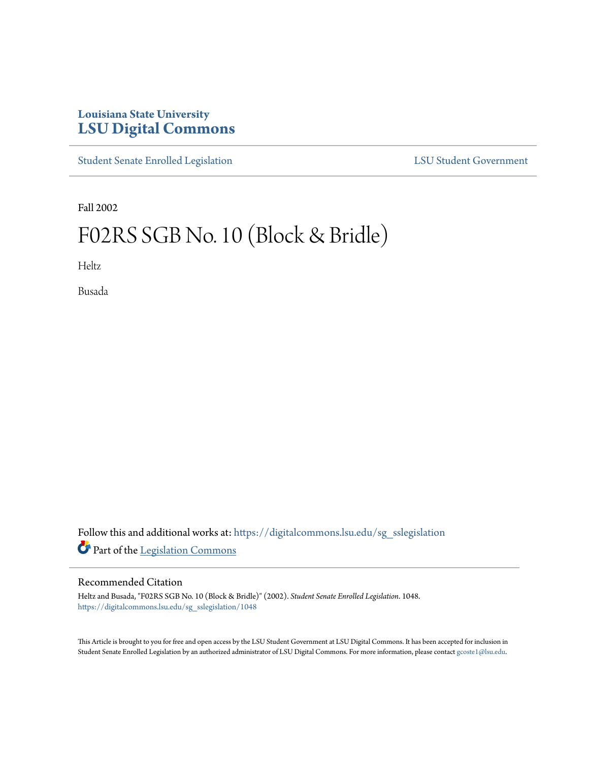## **Louisiana State University [LSU Digital Commons](https://digitalcommons.lsu.edu?utm_source=digitalcommons.lsu.edu%2Fsg_sslegislation%2F1048&utm_medium=PDF&utm_campaign=PDFCoverPages)**

[Student Senate Enrolled Legislation](https://digitalcommons.lsu.edu/sg_sslegislation?utm_source=digitalcommons.lsu.edu%2Fsg_sslegislation%2F1048&utm_medium=PDF&utm_campaign=PDFCoverPages) [LSU Student Government](https://digitalcommons.lsu.edu/sg?utm_source=digitalcommons.lsu.edu%2Fsg_sslegislation%2F1048&utm_medium=PDF&utm_campaign=PDFCoverPages)

Fall 2002

# F02RS SGB No. 10 (Block & Bridle)

Heltz

Busada

Follow this and additional works at: [https://digitalcommons.lsu.edu/sg\\_sslegislation](https://digitalcommons.lsu.edu/sg_sslegislation?utm_source=digitalcommons.lsu.edu%2Fsg_sslegislation%2F1048&utm_medium=PDF&utm_campaign=PDFCoverPages) Part of the [Legislation Commons](http://network.bepress.com/hgg/discipline/859?utm_source=digitalcommons.lsu.edu%2Fsg_sslegislation%2F1048&utm_medium=PDF&utm_campaign=PDFCoverPages)

#### Recommended Citation

Heltz and Busada, "F02RS SGB No. 10 (Block & Bridle)" (2002). *Student Senate Enrolled Legislation*. 1048. [https://digitalcommons.lsu.edu/sg\\_sslegislation/1048](https://digitalcommons.lsu.edu/sg_sslegislation/1048?utm_source=digitalcommons.lsu.edu%2Fsg_sslegislation%2F1048&utm_medium=PDF&utm_campaign=PDFCoverPages)

This Article is brought to you for free and open access by the LSU Student Government at LSU Digital Commons. It has been accepted for inclusion in Student Senate Enrolled Legislation by an authorized administrator of LSU Digital Commons. For more information, please contact [gcoste1@lsu.edu.](mailto:gcoste1@lsu.edu)